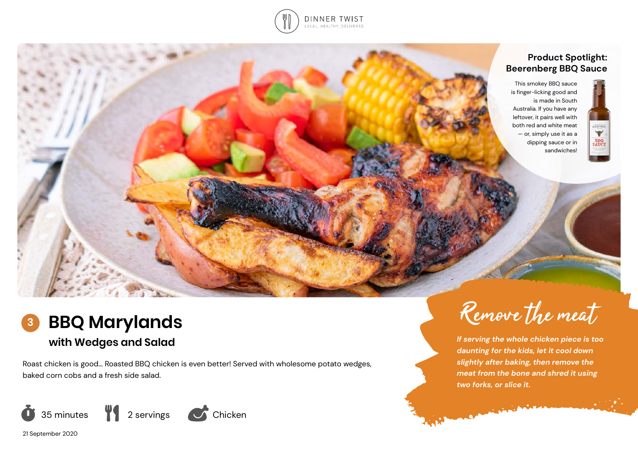

# **Product Spotlight: Beerenberg BBQ Sauce**



This smokey BBQ sauce is finger-licking good and is made in South Australia. If you have any leftover, it pairs well with both red and white meat — or, simply use it as a dipping sauce or in sandwiches!

# **BBQ Marylands with Wedges and Salad 3**

Roast chicken is good… Roasted BBQ chicken is even better! Served with wholesome potato wedges, baked corn cobs and a fresh side salad.



Remove the meat

*If serving the whole chicken piece is too daunting for the kids, let it cool down slightly after baking, then remove the meat from the bone and shred it using two forks, or slice it.* 

**Commence** 

**COMPANY** 

21 September 2020